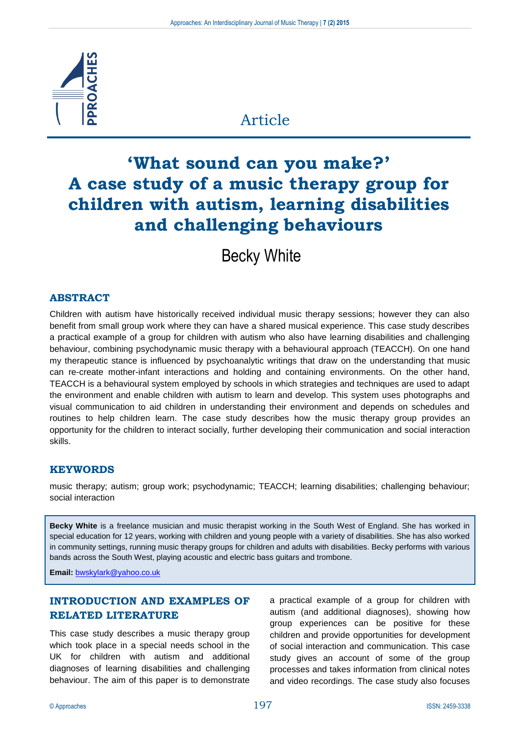

# Article

# **'What sound can you make?' A case study of a music therapy group for children with autism, learning disabilities and challenging behaviours**

Becky White

# **ABSTRACT**

Children with autism have historically received individual music therapy sessions; however they can also benefit from small group work where they can have a shared musical experience. This case study describes a practical example of a group for children with autism who also have learning disabilities and challenging behaviour, combining psychodynamic music therapy with a behavioural approach (TEACCH). On one hand my therapeutic stance is influenced by psychoanalytic writings that draw on the understanding that music can re-create mother-infant interactions and holding and containing environments. On the other hand, TEACCH is a behavioural system employed by schools in which strategies and techniques are used to adapt the environment and enable children with autism to learn and develop. This system uses photographs and visual communication to aid children in understanding their environment and depends on schedules and routines to help children learn. The case study describes how the music therapy group provides an opportunity for the children to interact socially, further developing their communication and social interaction skills.

#### **KEYWORDS**

music therapy; autism; group work; psychodynamic; TEACCH; learning disabilities; challenging behaviour; social interaction

**Becky White** is a freelance musician and music therapist working in the South West of England. She has worked in special education for 12 years, working with children and young people with a variety of disabilities. She has also worked in community settings, running music therapy groups for children and adults with disabilities. Becky performs with various bands across the South West, playing acoustic and electric bass guitars and trombone.

**Email:** [bwskylark@yahoo.co.uk](mailto:bwskylark@yahoo.co.uk)

# **INTRODUCTION AND EXAMPLES OF RELATED LITERATURE**

This case study describes a music therapy group which took place in a special needs school in the UK for children with autism and additional diagnoses of learning disabilities and challenging behaviour. The aim of this paper is to demonstrate

a practical example of a group for children with autism (and additional diagnoses), showing how group experiences can be positive for these children and provide opportunities for development of social interaction and communication. This case study gives an account of some of the group processes and takes information from clinical notes and video recordings. The case study also focuses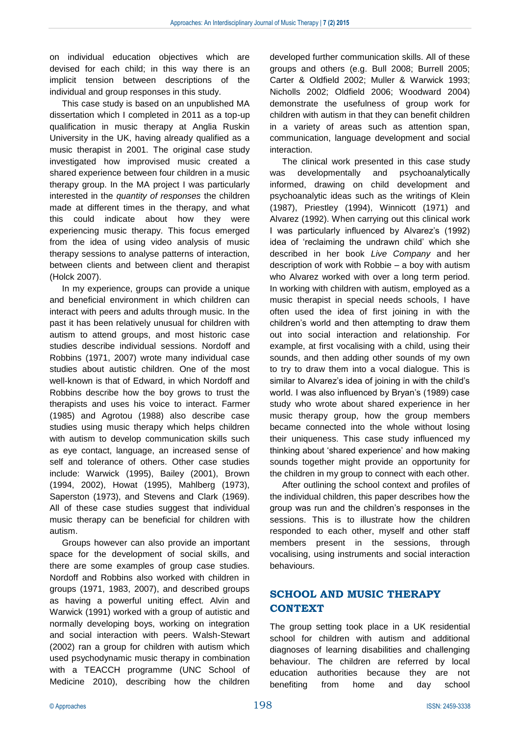on individual education objectives which are devised for each child; in this way there is an implicit tension between descriptions of the individual and group responses in this study.

This case study is based on an unpublished MA dissertation which I completed in 2011 as a top-up qualification in music therapy at Anglia Ruskin University in the UK, having already qualified as a music therapist in 2001. The original case study investigated how improvised music created a shared experience between four children in a music therapy group. In the MA project I was particularly interested in the *quantity of responses* the children made at different times in the therapy, and what this could indicate about how they were experiencing music therapy. This focus emerged from the idea of using video analysis of music therapy sessions to analyse patterns of interaction, between clients and between client and therapist (Holck 2007).

In my experience, groups can provide a unique and beneficial environment in which children can interact with peers and adults through music. In the past it has been relatively unusual for children with autism to attend groups, and most historic case studies describe individual sessions. Nordoff and Robbins (1971, 2007) wrote many individual case studies about autistic children. One of the most well-known is that of Edward, in which Nordoff and Robbins describe how the boy grows to trust the therapists and uses his voice to interact. Farmer (1985) and Agrotou (1988) also describe case studies using music therapy which helps children with autism to develop communication skills such as eye contact, language, an increased sense of self and tolerance of others. Other case studies include: Warwick (1995), Bailey (2001), Brown (1994, 2002), Howat (1995), Mahlberg (1973), Saperston (1973), and Stevens and Clark (1969). All of these case studies suggest that individual music therapy can be beneficial for children with autism.

Groups however can also provide an important space for the development of social skills, and there are some examples of group case studies. Nordoff and Robbins also worked with children in groups (1971, 1983, 2007), and described groups as having a powerful uniting effect. Alvin and Warwick (1991) worked with a group of autistic and normally developing boys, working on integration and social interaction with peers. Walsh-Stewart (2002) ran a group for children with autism which used psychodynamic music therapy in combination with a TEACCH programme (UNC School of Medicine 2010), describing how the children

developed further communication skills. All of these groups and others (e.g. Bull 2008; Burrell 2005; Carter & Oldfield 2002; Muller & Warwick 1993; Nicholls 2002; Oldfield 2006; Woodward 2004) demonstrate the usefulness of group work for children with autism in that they can benefit children in a variety of areas such as attention span, communication, language development and social interaction.

The clinical work presented in this case study was developmentally and psychoanalytically informed, drawing on child development and psychoanalytic ideas such as the writings of Klein (1987), Priestley (1994), Winnicott (1971) and Alvarez (1992). When carrying out this clinical work I was particularly influenced by Alvarez's (1992) idea of 'reclaiming the undrawn child' which she described in her book *Live Company* and her description of work with Robbie – a boy with autism who Alvarez worked with over a long term period. In working with children with autism, employed as a music therapist in special needs schools, I have often used the idea of first joining in with the children's world and then attempting to draw them out into social interaction and relationship. For example, at first vocalising with a child, using their sounds, and then adding other sounds of my own to try to draw them into a vocal dialogue. This is similar to Alvarez's idea of joining in with the child's world. I was also influenced by Bryan's (1989) case study who wrote about shared experience in her music therapy group, how the group members became connected into the whole without losing their uniqueness. This case study influenced my thinking about 'shared experience' and how making sounds together might provide an opportunity for the children in my group to connect with each other.

After outlining the school context and profiles of the individual children, this paper describes how the group was run and the children's responses in the sessions. This is to illustrate how the children responded to each other, myself and other staff members present in the sessions, through vocalising, using instruments and social interaction behaviours.

# **SCHOOL AND MUSIC THERAPY CONTEXT**

The group setting took place in a UK residential school for children with autism and additional diagnoses of learning disabilities and challenging behaviour. The children are referred by local education authorities because they are not benefiting from home and day school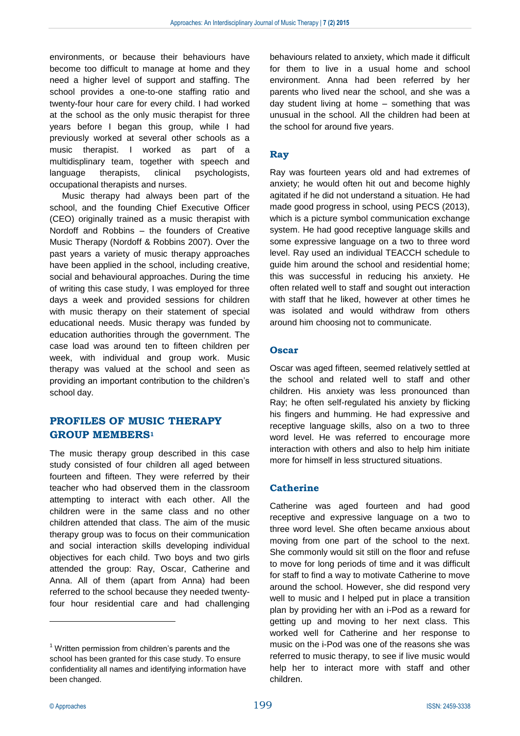environments, or because their behaviours have become too difficult to manage at home and they need a higher level of support and staffing. The school provides a one-to-one staffing ratio and twenty-four hour care for every child. I had worked at the school as the only music therapist for three years before I began this group, while I had previously worked at several other schools as a music therapist. I worked as part of a multidisplinary team, together with speech and language therapists, clinical psychologists, occupational therapists and nurses.

Music therapy had always been part of the school, and the founding Chief Executive Officer (CEO) originally trained as a music therapist with Nordoff and Robbins – the founders of Creative Music Therapy (Nordoff & Robbins 2007). Over the past years a variety of music therapy approaches have been applied in the school, including creative, social and behavioural approaches. During the time of writing this case study, I was employed for three days a week and provided sessions for children with music therapy on their statement of special educational needs. Music therapy was funded by education authorities through the government. The case load was around ten to fifteen children per week, with individual and group work. Music therapy was valued at the school and seen as providing an important contribution to the children's school day.

# **PROFILES OF MUSIC THERAPY GROUP MEMBERS<sup>1</sup>**

The music therapy group described in this case study consisted of four children all aged between fourteen and fifteen. They were referred by their teacher who had observed them in the classroom attempting to interact with each other. All the children were in the same class and no other children attended that class. The aim of the music therapy group was to focus on their communication and social interaction skills developing individual objectives for each child. Two boys and two girls attended the group: Ray, Oscar, Catherine and Anna. All of them (apart from Anna) had been referred to the school because they needed twentyfour hour residential care and had challenging

behaviours related to anxiety, which made it difficult for them to live in a usual home and school environment. Anna had been referred by her parents who lived near the school, and she was a day student living at home – something that was unusual in the school. All the children had been at the school for around five years.

# **Ray**

Ray was fourteen years old and had extremes of anxiety; he would often hit out and become highly agitated if he did not understand a situation. He had made good progress in school, using PECS (2013), which is a picture symbol communication exchange system. He had good receptive language skills and some expressive language on a two to three word level. Ray used an individual TEACCH schedule to guide him around the school and residential home; this was successful in reducing his anxiety. He often related well to staff and sought out interaction with staff that he liked, however at other times he was isolated and would withdraw from others around him choosing not to communicate.

# **Oscar**

Oscar was aged fifteen, seemed relatively settled at the school and related well to staff and other children. His anxiety was less pronounced than Ray; he often self-regulated his anxiety by flicking his fingers and humming. He had expressive and receptive language skills, also on a two to three word level. He was referred to encourage more interaction with others and also to help him initiate more for himself in less structured situations.

# **Catherine**

Catherine was aged fourteen and had good receptive and expressive language on a two to three word level. She often became anxious about moving from one part of the school to the next. She commonly would sit still on the floor and refuse to move for long periods of time and it was difficult for staff to find a way to motivate Catherine to move around the school. However, she did respond very well to music and I helped put in place a transition plan by providing her with an i-Pod as a reward for getting up and moving to her next class. This worked well for Catherine and her response to music on the i-Pod was one of the reasons she was referred to music therapy, to see if live music would help her to interact more with staff and other children.

 $\overline{a}$ 

<sup>&</sup>lt;sup>1</sup> Written permission from children's parents and the school has been granted for this case study. To ensure confidentiality all names and identifying information have been changed.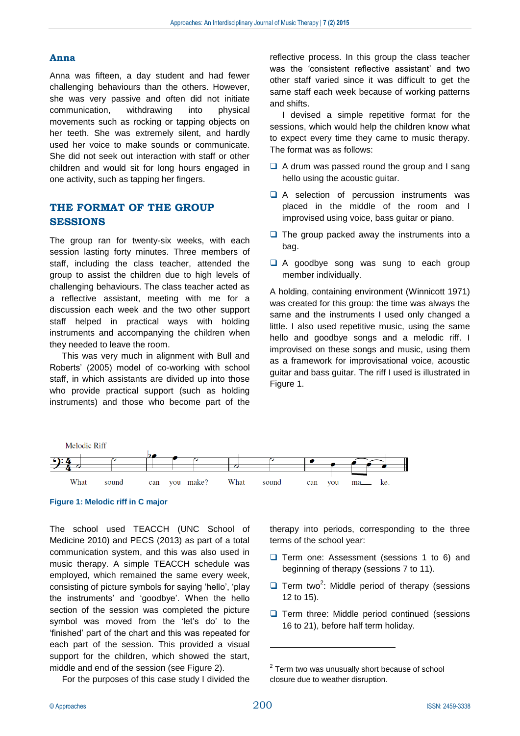#### **Anna**

Anna was fifteen, a day student and had fewer challenging behaviours than the others. However, she was very passive and often did not initiate communication, withdrawing into physical movements such as rocking or tapping objects on her teeth. She was extremely silent, and hardly used her voice to make sounds or communicate. She did not seek out interaction with staff or other children and would sit for long hours engaged in one activity, such as tapping her fingers.

# **THE FORMAT OF THE GROUP SESSIONS**

The group ran for twenty-six weeks, with each session lasting forty minutes. Three members of staff, including the class teacher, attended the group to assist the children due to high levels of challenging behaviours. The class teacher acted as a reflective assistant, meeting with me for a discussion each week and the two other support staff helped in practical ways with holding instruments and accompanying the children when they needed to leave the room.

This was very much in alignment with Bull and Roberts' (2005) model of co-working with school staff, in which assistants are divided up into those who provide practical support (such as holding instruments) and those who become part of the

reflective process. In this group the class teacher was the 'consistent reflective assistant' and two other staff varied since it was difficult to get the same staff each week because of working patterns and shifts.

I devised a simple repetitive format for the sessions, which would help the children know what to expect every time they came to music therapy. The format was as follows:

- $\Box$  A drum was passed round the group and I sang hello using the acoustic guitar.
- A selection of percussion instruments was placed in the middle of the room and I improvised using voice, bass guitar or piano.
- $\Box$  The group packed away the instruments into a bag.
- A goodbye song was sung to each group member individually.

A holding, containing environment (Winnicott 1971) was created for this group: the time was always the same and the instruments I used only changed a little. I also used repetitive music, using the same hello and goodbye songs and a melodic riff. I improvised on these songs and music, using them as a framework for improvisational voice, acoustic guitar and bass guitar. The riff I used is illustrated in Figure 1.



**Figure 1: Melodic riff in C major**

The school used TEACCH (UNC School of Medicine 2010) and PECS (2013) as part of a total communication system, and this was also used in music therapy. A simple TEACCH schedule was employed, which remained the same every week, consisting of picture symbols for saying 'hello', 'play the instruments' and 'goodbye'. When the hello section of the session was completed the picture symbol was moved from the 'let's do' to the 'finished' part of the chart and this was repeated for each part of the session. This provided a visual support for the children, which showed the start, middle and end of the session (see Figure 2).

For the purposes of this case study I divided the

therapy into periods, corresponding to the three terms of the school year:

- $\Box$  Term one: Assessment (sessions 1 to 6) and beginning of therapy (sessions 7 to 11).
- $\Box$  Term two<sup>2</sup>: Middle period of therapy (sessions 12 to 15).
- $\Box$  Term three: Middle period continued (sessions 16 to 21), before half term holiday.

<u>.</u>

 $2$  Term two was unusually short because of school closure due to weather disruption.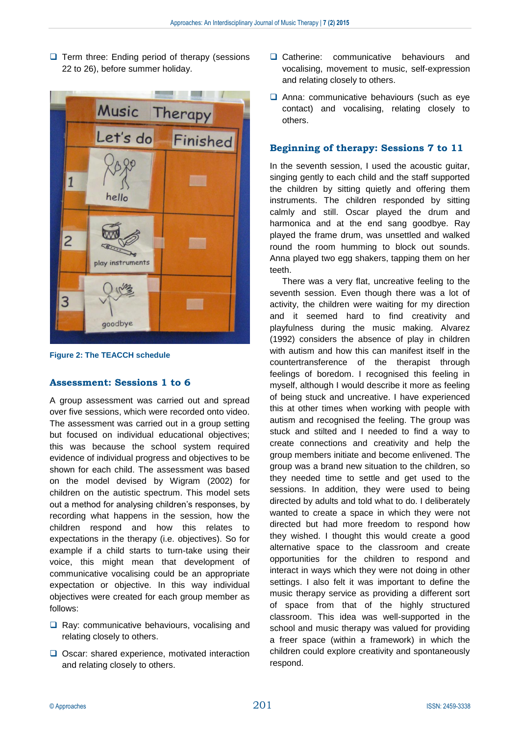$\Box$  Term three: Ending period of therapy (sessions 22 to 26), before summer holiday.



**Figure 2: The TEACCH schedule**

#### **Assessment: Sessions 1 to 6**

A group assessment was carried out and spread over five sessions, which were recorded onto video. The assessment was carried out in a group setting but focused on individual educational objectives; this was because the school system required evidence of individual progress and objectives to be shown for each child. The assessment was based on the model devised by Wigram (2002) for children on the autistic spectrum. This model sets out a method for analysing children's responses, by recording what happens in the session, how the children respond and how this relates to expectations in the therapy (i.e. objectives). So for example if a child starts to turn-take using their voice, this might mean that development of communicative vocalising could be an appropriate expectation or objective. In this way individual objectives were created for each group member as follows:

- $\Box$  Ray: communicative behaviours, vocalising and relating closely to others.
- $\Box$  Oscar: shared experience, motivated interaction and relating closely to others.
- **Q** Catherine: communicative behaviours and vocalising, movement to music, self-expression and relating closely to others.
- $\Box$  Anna: communicative behaviours (such as eye contact) and vocalising, relating closely to others.

# **Beginning of therapy: Sessions 7 to 11**

In the seventh session, I used the acoustic guitar, singing gently to each child and the staff supported the children by sitting quietly and offering them instruments. The children responded by sitting calmly and still. Oscar played the drum and harmonica and at the end sang goodbye. Ray played the frame drum, was unsettled and walked round the room humming to block out sounds. Anna played two egg shakers, tapping them on her teeth.

There was a very flat, uncreative feeling to the seventh session. Even though there was a lot of activity, the children were waiting for my direction and it seemed hard to find creativity and playfulness during the music making. Alvarez (1992) considers the absence of play in children with autism and how this can manifest itself in the countertransference of the therapist through feelings of boredom. I recognised this feeling in myself, although I would describe it more as feeling of being stuck and uncreative. I have experienced this at other times when working with people with autism and recognised the feeling. The group was stuck and stilted and I needed to find a way to create connections and creativity and help the group members initiate and become enlivened. The group was a brand new situation to the children, so they needed time to settle and get used to the sessions. In addition, they were used to being directed by adults and told what to do. I deliberately wanted to create a space in which they were not directed but had more freedom to respond how they wished. I thought this would create a good alternative space to the classroom and create opportunities for the children to respond and interact in ways which they were not doing in other settings. I also felt it was important to define the music therapy service as providing a different sort of space from that of the highly structured classroom. This idea was well-supported in the school and music therapy was valued for providing a freer space (within a framework) in which the children could explore creativity and spontaneously respond.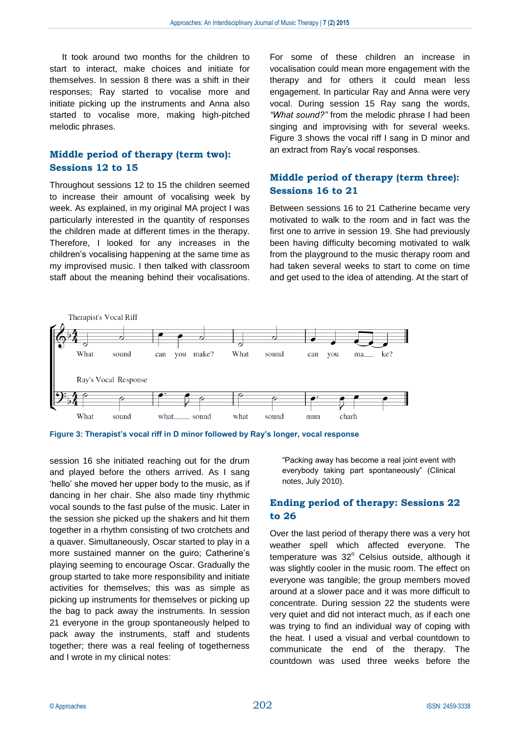It took around two months for the children to start to interact, make choices and initiate for themselves. In session 8 there was a shift in their responses; Ray started to vocalise more and initiate picking up the instruments and Anna also started to vocalise more, making high-pitched melodic phrases.

# **Middle period of therapy (term two): Sessions 12 to 15**

Throughout sessions 12 to 15 the children seemed to increase their amount of vocalising week by week. As explained, in my original MA project I was particularly interested in the quantity of responses the children made at different times in the therapy. Therefore, I looked for any increases in the children's vocalising happening at the same time as my improvised music. I then talked with classroom staff about the meaning behind their vocalisations. For some of these children an increase in vocalisation could mean more engagement with the therapy and for others it could mean less engagement. In particular Ray and Anna were very vocal. During session 15 Ray sang the words, *"What sound?"* from the melodic phrase I had been singing and improvising with for several weeks. Figure 3 shows the vocal riff I sang in D minor and an extract from Ray's vocal responses.

# **Middle period of therapy (term three): Sessions 16 to 21**

Between sessions 16 to 21 Catherine became very motivated to walk to the room and in fact was the first one to arrive in session 19. She had previously been having difficulty becoming motivated to walk from the playground to the music therapy room and had taken several weeks to start to come on time and get used to the idea of attending. At the start of



**Figure 3: Therapist's vocal riff in D minor followed by Ray's longer, vocal response**

session 16 she initiated reaching out for the drum and played before the others arrived. As I sang 'hello' she moved her upper body to the music, as if dancing in her chair. She also made tiny rhythmic vocal sounds to the fast pulse of the music. Later in the session she picked up the shakers and hit them together in a rhythm consisting of two crotchets and a quaver. Simultaneously, Oscar started to play in a more sustained manner on the guiro; Catherine's playing seeming to encourage Oscar. Gradually the group started to take more responsibility and initiate activities for themselves; this was as simple as picking up instruments for themselves or picking up the bag to pack away the instruments. In session 21 everyone in the group spontaneously helped to pack away the instruments, staff and students together; there was a real feeling of togetherness and I wrote in my clinical notes:

"Packing away has become a real joint event with everybody taking part spontaneously" (Clinical notes, July 2010).

### **Ending period of therapy: Sessions 22 to 26**

Over the last period of therapy there was a very hot weather spell which affected everyone. The temperature was  $32^{\circ}$  Celsius outside, although it was slightly cooler in the music room. The effect on everyone was tangible; the group members moved around at a slower pace and it was more difficult to concentrate. During session 22 the students were very quiet and did not interact much, as if each one was trying to find an individual way of coping with the heat. I used a visual and verbal countdown to communicate the end of the therapy. The countdown was used three weeks before the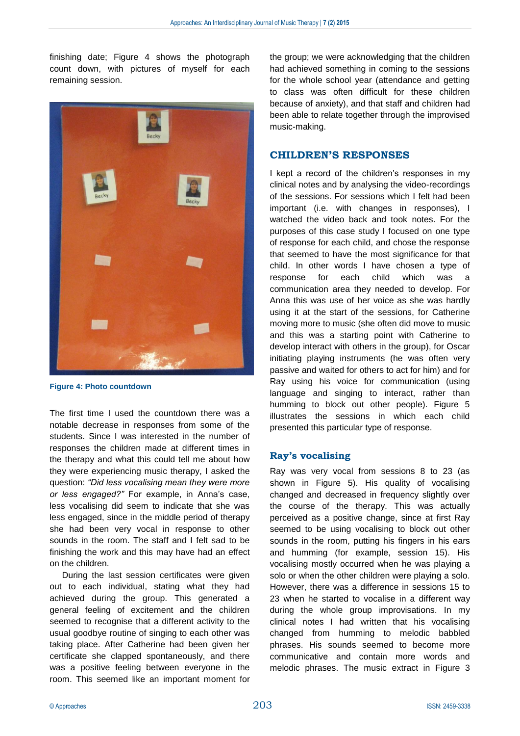finishing date; Figure 4 shows the photograph count down, with pictures of myself for each remaining session.



**Figure 4: Photo countdown**

The first time I used the countdown there was a notable decrease in responses from some of the students. Since I was interested in the number of responses the children made at different times in the therapy and what this could tell me about how they were experiencing music therapy, I asked the question: *"Did less vocalising mean they were more or less engaged?"* For example, in Anna's case, less vocalising did seem to indicate that she was less engaged, since in the middle period of therapy she had been very vocal in response to other sounds in the room. The staff and I felt sad to be finishing the work and this may have had an effect on the children.

During the last session certificates were given out to each individual, stating what they had achieved during the group. This generated a general feeling of excitement and the children seemed to recognise that a different activity to the usual goodbye routine of singing to each other was taking place. After Catherine had been given her certificate she clapped spontaneously, and there was a positive feeling between everyone in the room. This seemed like an important moment for the group; we were acknowledging that the children had achieved something in coming to the sessions for the whole school year (attendance and getting to class was often difficult for these children because of anxiety), and that staff and children had been able to relate together through the improvised music-making.

#### **CHILDREN'S RESPONSES**

I kept a record of the children's responses in my clinical notes and by analysing the video-recordings of the sessions. For sessions which I felt had been important (i.e. with changes in responses), I watched the video back and took notes. For the purposes of this case study I focused on one type of response for each child, and chose the response that seemed to have the most significance for that child. In other words I have chosen a type of response for each child which was a communication area they needed to develop. For Anna this was use of her voice as she was hardly using it at the start of the sessions, for Catherine moving more to music (she often did move to music and this was a starting point with Catherine to develop interact with others in the group), for Oscar initiating playing instruments (he was often very passive and waited for others to act for him) and for Ray using his voice for communication (using language and singing to interact, rather than humming to block out other people). Figure 5 illustrates the sessions in which each child presented this particular type of response.

#### **Ray's vocalising**

Ray was very vocal from sessions 8 to 23 (as shown in Figure 5). His quality of vocalising changed and decreased in frequency slightly over the course of the therapy. This was actually perceived as a positive change, since at first Ray seemed to be using vocalising to block out other sounds in the room, putting his fingers in his ears and humming (for example, session 15). His vocalising mostly occurred when he was playing a solo or when the other children were playing a solo. However, there was a difference in sessions 15 to 23 when he started to vocalise in a different way during the whole group improvisations. In my clinical notes I had written that his vocalising changed from humming to melodic babbled phrases. His sounds seemed to become more communicative and contain more words and melodic phrases. The music extract in Figure 3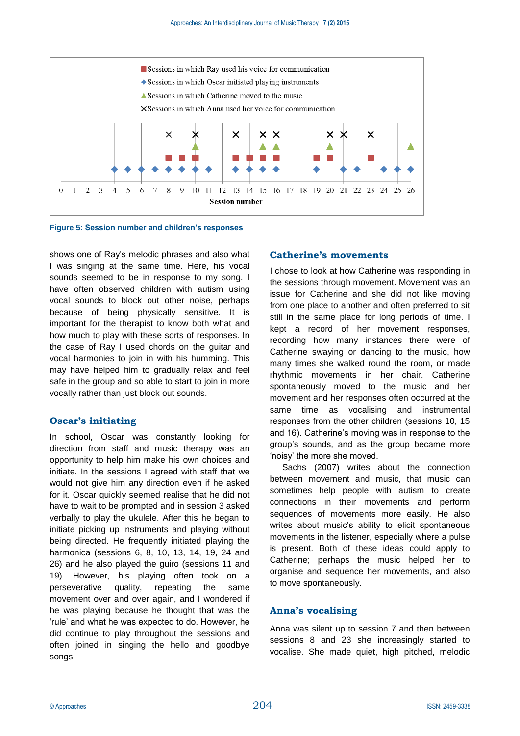

**Figure 5: Session number and children's responses**

shows one of Ray's melodic phrases and also what I was singing at the same time. Here, his vocal sounds seemed to be in response to my song. I have often observed children with autism using vocal sounds to block out other noise, perhaps because of being physically sensitive. It is important for the therapist to know both what and how much to play with these sorts of responses. In the case of Ray I used chords on the guitar and vocal harmonies to join in with his humming. This may have helped him to gradually relax and feel safe in the group and so able to start to join in more vocally rather than just block out sounds.

#### **Oscar's initiating**

In school, Oscar was constantly looking for direction from staff and music therapy was an opportunity to help him make his own choices and initiate. In the sessions I agreed with staff that we would not give him any direction even if he asked for it. Oscar quickly seemed realise that he did not have to wait to be prompted and in session 3 asked verbally to play the ukulele. After this he began to initiate picking up instruments and playing without being directed. He frequently initiated playing the harmonica (sessions 6, 8, 10, 13, 14, 19, 24 and 26) and he also played the guiro (sessions 11 and 19). However, his playing often took on a perseverative quality, repeating the same movement over and over again, and I wondered if he was playing because he thought that was the 'rule' and what he was expected to do. However, he did continue to play throughout the sessions and often joined in singing the hello and goodbye songs.

#### **Catherine's movements**

I chose to look at how Catherine was responding in the sessions through movement. Movement was an issue for Catherine and she did not like moving from one place to another and often preferred to sit still in the same place for long periods of time. I kept a record of her movement responses, recording how many instances there were of Catherine swaying or dancing to the music, how many times she walked round the room, or made rhythmic movements in her chair. Catherine spontaneously moved to the music and her movement and her responses often occurred at the same time as vocalising and instrumental responses from the other children (sessions 10, 15 and 16). Catherine's moving was in response to the group's sounds, and as the group became more 'noisy' the more she moved.

Sachs (2007) writes about the connection between movement and music, that music can sometimes help people with autism to create connections in their movements and perform sequences of movements more easily. He also writes about music's ability to elicit spontaneous movements in the listener, especially where a pulse is present. Both of these ideas could apply to Catherine; perhaps the music helped her to organise and sequence her movements, and also to move spontaneously.

#### **Anna's vocalising**

Anna was silent up to session 7 and then between sessions 8 and 23 she increasingly started to vocalise. She made quiet, high pitched, melodic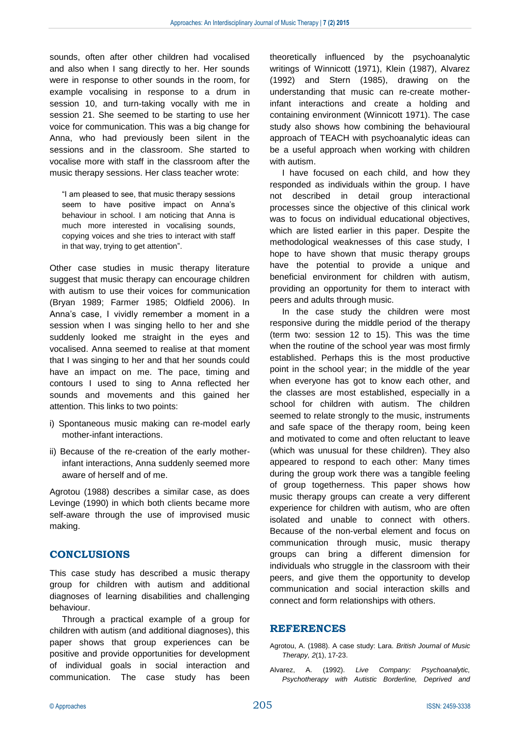sounds, often after other children had vocalised and also when I sang directly to her. Her sounds were in response to other sounds in the room, for example vocalising in response to a drum in session 10, and turn-taking vocally with me in session 21. She seemed to be starting to use her voice for communication. This was a big change for Anna, who had previously been silent in the sessions and in the classroom. She started to vocalise more with staff in the classroom after the music therapy sessions. Her class teacher wrote:

"I am pleased to see, that music therapy sessions seem to have positive impact on Anna's behaviour in school. I am noticing that Anna is much more interested in vocalising sounds, copying voices and she tries to interact with staff in that way, trying to get attention".

Other case studies in music therapy literature suggest that music therapy can encourage children with autism to use their voices for communication (Bryan 1989; Farmer 1985; Oldfield 2006). In Anna's case, I vividly remember a moment in a session when I was singing hello to her and she suddenly looked me straight in the eyes and vocalised. Anna seemed to realise at that moment that I was singing to her and that her sounds could have an impact on me. The pace, timing and contours I used to sing to Anna reflected her sounds and movements and this gained her attention. This links to two points:

- i) Spontaneous music making can re-model early mother-infant interactions.
- ii) Because of the re-creation of the early motherinfant interactions, Anna suddenly seemed more aware of herself and of me.

Agrotou (1988) describes a similar case, as does Levinge (1990) in which both clients became more self-aware through the use of improvised music making.

#### **CONCLUSIONS**

This case study has described a music therapy group for children with autism and additional diagnoses of learning disabilities and challenging behaviour.

Through a practical example of a group for children with autism (and additional diagnoses), this paper shows that group experiences can be positive and provide opportunities for development of individual goals in social interaction and communication. The case study has been

theoretically influenced by the psychoanalytic writings of Winnicott (1971), Klein (1987), Alvarez (1992) and Stern (1985), drawing on the understanding that music can re-create motherinfant interactions and create a holding and containing environment (Winnicott 1971). The case study also shows how combining the behavioural approach of TEACH with psychoanalytic ideas can be a useful approach when working with children with autism.

I have focused on each child, and how they responded as individuals within the group. I have not described in detail group interactional processes since the objective of this clinical work was to focus on individual educational objectives, which are listed earlier in this paper. Despite the methodological weaknesses of this case study, I hope to have shown that music therapy groups have the potential to provide a unique and beneficial environment for children with autism, providing an opportunity for them to interact with peers and adults through music.

In the case study the children were most responsive during the middle period of the therapy (term two: session 12 to 15). This was the time when the routine of the school year was most firmly established. Perhaps this is the most productive point in the school year; in the middle of the year when everyone has got to know each other, and the classes are most established, especially in a school for children with autism. The children seemed to relate strongly to the music, instruments and safe space of the therapy room, being keen and motivated to come and often reluctant to leave (which was unusual for these children). They also appeared to respond to each other: Many times during the group work there was a tangible feeling of group togetherness. This paper shows how music therapy groups can create a very different experience for children with autism, who are often isolated and unable to connect with others. Because of the non-verbal element and focus on communication through music, music therapy groups can bring a different dimension for individuals who struggle in the classroom with their peers, and give them the opportunity to develop communication and social interaction skills and connect and form relationships with others.

#### **REFERENCES**

Agrotou, A. (1988). A case study: Lara. *British Journal of Music Therapy, 2*(1), 17-23.

Alvarez, A. (1992). *Live Company: Psychoanalytic, Psychotherapy with Autistic Borderline, Deprived and*